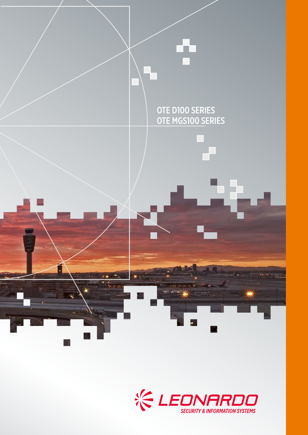

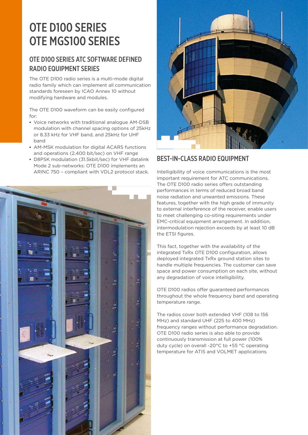# OTE D100 SERIES OTE MGS100 SERIES

## OTE D100 SERIES ATC SOFTWARE DEFINED RADIO EQUIPMENT SERIES

The OTE D100 radio series is a multi-mode digital radio family which can implement all communication standards foreseen by ICAO Annex 10 without modifying hardware and modules.

The OTE D100 waveform can be easily configured for:

- **▪** Voice networks with traditional analogue AM-DSB modulation with channel spacing options of 25kHz or 8.33 kHz for VHF band, and 25kHz for UHF band
- **▪** AM-MSK modulation for digital ACARS functions and operations (2,400 bit/sec) on VHF range
- **▪** D8PSK modulation (31.5kbit/sec) for VHF datalink Mode 2 sub-networks: OTE D100 implements an ARINC 750 – compliant with VDL2 protocol stack.





#### BEST-IN-CLASS RADIO EQUIPMENT

Intelligibility of voice communications is the most important requirement for ATC communications. The OTE D100 radio series offers outstanding performances in terms of reduced broad band noise radiation and unwanted emissions. These features, together with the high grade of immunity to external interference of the receiver, enable users to meet challenging co-siting requirements under EMC-critical equipment arrangement. In addition, intermodulation rejection exceeds by at least 10 dB the ETSI figures.

This fact, together with the availability of the integrated TxRx OTE D100 configuration, allows deployed integrated TxRx ground station sites to handle multiple frequencies. The customer can save space and power consumption on each site, without any degradation of voice intelligibility.

OTE D100 radios offer guaranteed performances throughout the whole frequency band and operating temperature range.

The radios cover both extended VHF (108 to 156 MHz) and standard UHF (225 to 400 MHz) frequency ranges without performance degradation. OTE D100 radio series is also able to provide continuously transmission at full power (100% duty cycle) on overall -20°C to +55 °C operating temperature for ATIS and VOLMET applications.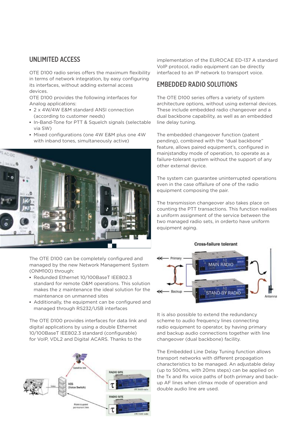#### UNLIMITED ACCESS

OTE D100 radio series offers the maximum flexibility in terms of network integration, by easy configuring its interfaces, without adding external access devices.

OTE D100 provides the following interfaces for Analog applications:

- **▪** 2 x 4W/4W E&M standard ANSI connection (according to customer needs)
- **▪** In-Band-Tone for PTT & Squelch signals (selectable via SW)
- **▪** Mixed configurations (one 4W E&M plus one 4W with inband tones, simultaneously active)



The OTE D100 can be completely configured and managed by the new Network Management System (ONM100) through:

- **▪** Redunded Ethernet 10/100BaseT IEE802.3 standard for remote O&M operations. This solution makes the z maintenance the ideal solution for the maintenance on unmanned sites
- **▪** Additionally, the equipment can be configured and managed through RS232/USB interfaces

The OTE D100 provides interfaces for data link and digital applications by using a double Ethernet 10/100BaseT IEE802.3 standard (configurable) for VoIP, VDL2 and Digital ACARS. Thanks to the



implementation of the EUROCAE ED-137 A standard VolP protocol, radio equipment can be directly interfaced to an IP network to transport voice.

#### EMBEDDED RADIO SOLUTIONS

The OTE D100 series offers a variety of system architecture options, without using external devices. These include embedded radio changeover and a dual backbone capability, as well as an embedded line delay tuning.

The embedded changeover function (patent pending), combined with the "dual backbone" feature, allows paired equipment's, configured in mainjstandby mode of operation, to operate as a failure-tolerant system without the support of any other external device.

The system can guarantee uninterrupted operations even in the case offailure of one of the radio equipment composing the pair.

The transmission changeover also takes place on counting the PTT transactions. This function realises a uniform assignment of the service between the two managed radio sets, in orderto have uniform equipment aging.



It is also possible to extend the redundancy scheme to audio frequency lines connecting radio equipment to operator, by having primary and backup audio connections together with line changeover (dual backbone) facility.

The Embedded Line Delay Tuning function allows transport networks with different propagation characteristics to be managed. An adjustable delay (up to 500ms, with 20ms steps) can be applied on the Tx and Rx voice paths of both primary and backup AF lines when climax mode of operation and double audio line are used.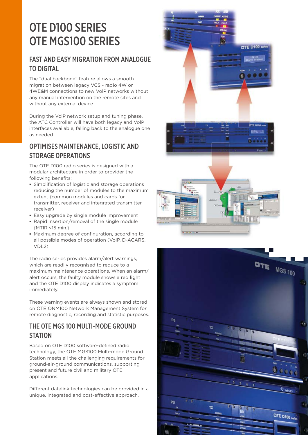# OTE D100 SERIES OTE MGS100 SERIES

## FAST AND EASY MIGRATION FROM ANALOGUE TO DIGITAL

The "dual backbone" feature allows a smooth migration between legacy VCS - radio 4W or 4WE&M connections to new VolP networks without any manual intervention on the remote sites and without any external device.

During the VolP network setup and tuning phase, the ATC Controller will have both legacy and VolP interfaces available, falling back to the analogue one as needed.

## OPTIMISES MAINTENANCE, LOGISTIC AND STORAGE OPERATIONS

The OTE D100 radio series is designed with a modular architecture in order to provider the following benefits:

- **▪** Simplification of logistic and storage operations reducing the number of modules to the maximum extent (common modules and cards for transmitter, receiver and integrated transmitterreceiver)
- **▪** Easy upgrade by single module improvement
- **▪** Rapid insertion/removal of the single module (MTIR <15 min.)
- **▪** Maximum degree of configuration, according to all possible modes of operation (VoIP, D-ACARS, VDL2)

The radio series provides alarm/alert warnings, which are readily recognised to reduce to a maximum maintenance operations. When an alarm/ alert occurs, the faulty module shows a red light and the OTE D100 display indicates a symptom immediately.

These warning events are always shown and stored on OTE ONM100 Network Management System for remote diagnostic, recording and statistic purposes.

#### THE OTE MGS 100 MULTI-MODE GROUND **STATION**

Based on OTE D100 software-defined radio technology, the OTE MGS100 Multi-mode Ground Station meets all the challenging requirements for ground-air-ground communications, supporting present and future civil and military OTE applications.

Different datalink technologies can be provided in a unique, integrated and cost-effective approach.



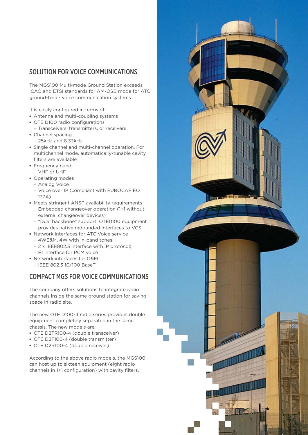#### SOLUTION FOR VOICE COMMUNICATIONS

The MGS100 Multi-mode Ground Station exceeds ICAO and ETSI standards for AM-OSB mode for ATC ground-to-air voice communication systems.

It is easily configured in terms of:

- **▪** Antenna and multi-coupling systems
- **▪** OTE D100 radio configurations
- Transceivers, transmitters, or receivers
- **▪** Channel spacing
	- 25kHz and 8.33kHz
- **▪** Single channel and multi-channel operation. For multichannel mode, automatically-tunable cavity filters are available
- **▪** Frequency band – VHF or UHF
- **▪** Operating modes
	- Analog Voice
	- Voice over IP (compliant with EUROCAE EO 137A)
- **▪** Meets stringent ANSP availability requirements
	- Embedded changeover operation (1+1 without external changeover devices)
	- "Dual backbone" support: OTE0100 equipment provides native redounded interfaces to VCS
- **▪** Network interfaces for ATC Voice service
	- 4WE&M, 4W with in-band tones;
	- 2 x IEEE802.3 interface with IP protocol;
- E1 interface for PCM voice
- **▪** Network interfaces for O&M
	- IEEE 802.3 10/100 BaseT

## COMPACT MGS FOR VOICE COMMUNICATIONS

The company offers solutions to integrate radio channels inside the same ground station for saving space in radio site.

The new OTE D100-4 radio series provides double equipment completely separated in the same chassis. The new models are:

- **▪** OTE D2TR100-4 (double transceiver)
- **▪** OTE D2T100-4 (double transmitter)
- **▪** OTE D2R100-4 (double receiver)

According to the above radio models, the MGS100 can host up to sixteen equipment (eight radio channels in 1+1 configuration) with cavity filters.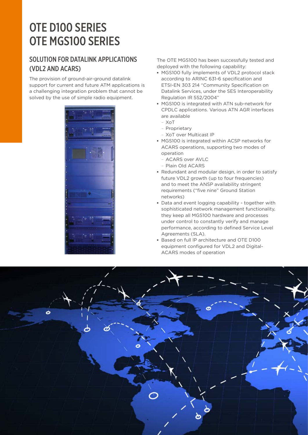# OTE D100 SERIES OTE MGS100 SERIES

### SOLUTION FOR DATALINK APPLICATIONS (VDL2 AND ACARS)

The provision of ground-air-ground datalink support for current and future ATM applications is a challenging integration problem that cannot be solved by the use of simple radio equipment.



The OTE MGS100 has been successfully tested and deployed with the following capability:

- **▪** MGS100 fully implements of VDL2 protocol stack according to ARINC 631-6 specification and ETSI-EN 303 214 "Community Specification on Datalink Services, under the SES Interoperability Regulation IR 552/2004"
- **▪** MGS100 is integrated with ATN sub-network for CPDLC applications. Various ATN AGR interfaces are available
	- XoT
	- Proprietary
	- XoT over Multicast IP
- **▪** MGS100 is integrated within ACSP networks for ACARS operations, supporting two modes of operation
	- ACARS over AVLC
	- Plain Old ACARS
- **▪** Redundant and modular design, in order to satisfy future VDL2 growth (up to four frequencies) and to meet the ANSP availability stringent requirements ("five nine" Ground Station networks)
- **▪** Data and event logging capability together with sophisticated network management functionality, they keep all MGS100 hardware and processes under control to constantly verify and manage performance, according to defined Service Level Agreements (SLA).
- **▪** Based on full lP architecture and OTE D100 equipment configured for VDL2 and Digital-ACARS modes of operation

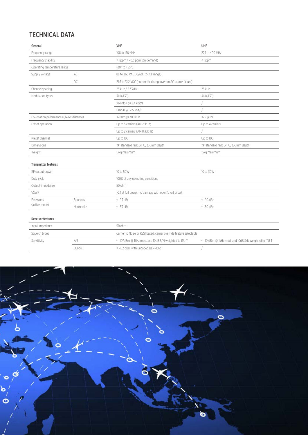# TECHNICAL DATA

| General                                  |           | <b>VHF</b>                                                          | UHF                                                  |
|------------------------------------------|-----------|---------------------------------------------------------------------|------------------------------------------------------|
| Frequency range                          |           | 108 to 156 MHz                                                      | 225 to 400 MHz                                       |
| Frequency stability                      |           | $<$ 1 ppm $/$ <0.3 ppm (on demand)                                  | $\leq$ 1 ppm                                         |
| Operating temperature range              |           | $-20^{\circ}$ to $+55^{\circ}$ C                                    |                                                      |
| Supply voltage                           | AC        | 88 to 265 VAC 50/60 Hz (full range)                                 |                                                      |
|                                          | DC        | 21.6 to 31.2 VDC (automatic changeover on AC source failure)        |                                                      |
| Channel spacing                          |           | 25 kHz / 8.33kHz                                                    | 25 kHz                                               |
| Modulation types                         |           | AM (A3E)                                                            | AM (A3E)                                             |
|                                          |           | AM-MSK @ 2.4 kbit/s                                                 |                                                      |
|                                          |           | D8PSK @ 31.5 kbit/s                                                 |                                                      |
| Co-location peformances (Tx-Rx distance) |           | <280m @ 300 kHz                                                     | $-25$ @ 1%                                           |
| Offset operation                         |           | Up to 5 carriers (AM 25kHz)                                         | Up to 4 carriers                                     |
|                                          |           | Up to 2 carriers (AM 8.33kHz)                                       |                                                      |
| Preset channel                           |           | Up to 100                                                           | Up to 100                                            |
| Dimensions                               |           | 19" standard rack, 3 HU, 330mm depth                                | 19" standard rack, 3 HU, 330mm depth                 |
| Weight                                   |           | 13kg maximum                                                        | 15kg maximum                                         |
| <b>Transmitter features</b>              |           |                                                                     |                                                      |
| RF output power                          |           | 10 to 50W                                                           | 10 to 30W                                            |
| Duty cycle                               |           | 100% at any operating conditions                                    |                                                      |
| Output impedance                         |           | 50 ohm                                                              |                                                      |
| <b>VSWR</b>                              |           | >2:1 at full power; no damage with open/short circuit               |                                                      |
| Emissions<br>(active mode)               | Spurious  | $\leq -93$ dBc                                                      | $< -90$ dBc                                          |
|                                          | Harmonics | $< -83$ dBc                                                         | $< -80$ dBc                                          |
| <b>Receiver features</b>                 |           |                                                                     |                                                      |
| Input impedance                          |           | 50 ohm                                                              |                                                      |
| Squelch types                            |           | Carrier to Noise or RSSI based, carrier override feature selectable |                                                      |
| Sensitivity                              | AM        | <- 107dBm @ 1kHz mod. and 10dB S/N weighted to ITU-T                | <- 101dBm @ 1kHz mod. and 10dB S/N weighted to ITU-T |
|                                          | D8PSK     | <- 102 dBm with uncoded BER=10-3                                    |                                                      |
|                                          |           |                                                                     |                                                      |